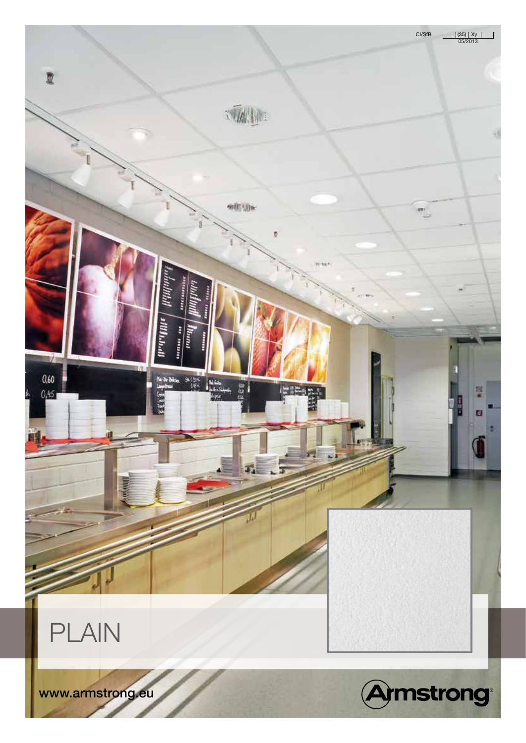